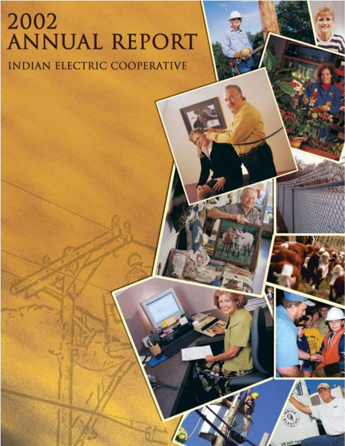# 2002<br>ANNUAL REPORT **INDIAN ELECTRIC COOPERATIVE**

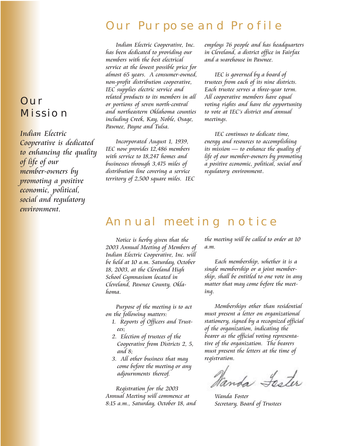## Our Purpose and Profile

Indian Electric Cooperative, Inc. has been dedicated to providing our members with the best electrical service at the lowest possible price for almost 65 years. A consumer-owned, non-profit distribution cooperative, IEC supplies electric service and related products to its members in all or portions of seven north-central and northeastern Oklahoma counties including Creek, Kay, Noble, Osage, Pawnee, Payne and Tulsa.

Incorporated August 1, 1939, IEC now provides 12,486 members with service to 18,247 homes and businesses through 3,475 miles of distribution line covering a service territory of 2,500 square miles. IEC employs 76 people and has headquarters in Cleveland, a district office in Fairfax and a warehouse in Pawnee.

IEC is governed by a board of trustees from each of its nine districts. Each trustee serves a three-year term. All cooperative members have equal voting rights and have the opportunity to vote at IEC's district and annual meetings.

IEC continues to dedicate time, energy and resources to accomplishing its mission — to enhance the quality of life of our member-owners by promoting a positive economic, political, social and regulatory environment.

## Annual meeting notice

Notice is herby given that the 2003 Annual Meeting of Members of Indian Electric Cooperative, Inc. will be held at 10 a.m. Saturday, October 18, 2003, at the Cleveland High School Gymnasium located in Cleveland, Pawnee County, Oklahoma.

Purpose of the meeting is to act on the following matters:

- 1. Reports of Officers and Trustees;
- 2. Election of trustees of the Cooperative from Districts 2, 5, and 8;
- 3. All other business that may come before the meeting or any adjournments thereof.

Registration for the 2003 Annual Meeting will commence at 8:15 a.m., Saturday, October 18, and the meeting will be called to order at 10 a.m.

Each membership, whether it is a single membership or a joint membership, shall be entitled to one vote in any matter that may come before the meeting.

Memberships other than residential must present a letter on organizational stationery, signed by a recognized official of the organization, indicating the bearer as the official voting representative of the organization. The bearers must present the letters at the time of registration.

inds Faster

Wanda Foster Secretary, Board of Trustees

# **OUR MISSION**

Indian Electric Cooperative is dedicated to enhancing the quality of life of our member-owners by promoting a positive economic, political, social and regulatory environment.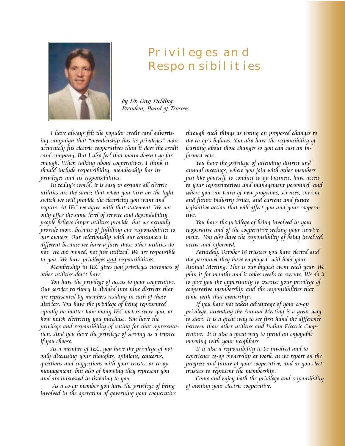

# Privileges and Responsibilities

by Dr. Greg Fielding President, Board of Trustees

I have always felt the popular credit card advertising campaign that "membership has its privileges" more accurately fits electric cooperatives than it does the credit card company. But I also feel that motto doesn't go far enough. When talking about cooperatives, I think it should include responsibility; membership has its privileges <u>and</u> its responsibilities.

In today's world, it is easy to assume all electric utilities are the same; that when you turn on the light switch we will provide the electricity you want and require. At IEC we agree with that statement. We not only offer the same level of service and dependability people believe larger utilities provide, but we actually provide more, because of fulfilling our responsibilities to our owners. Our relationship with our consumers is different because we have a facet those other utilities do not. We are owned, not just utilized. We are responsible to you. We have privileges and responsibilities.

Membership in IEC gives you privileges customers of other utilities don't have.

You have the privilege of access to your cooperative. Our service territory is divided into nine districts that are represented by members residing in each of those districts. You have the privilege of being represented equally no matter how many IEC meters serve you, or how much electricity you purchase. You have the privilege and responsibility of voting for that representation. And you have the privilege of serving as a trustee if you choose.

As a member of IEC, you have the privilege of not only discussing your thoughts, opinions, concerns, questions and suggestions with your trustee or co-op management, but also of knowing they represent you and are interested in listening to you.

 As a co-op member you have the privilege of being involved in the operation of governing your cooperative

through such things as voting on proposed changes to the co-op's bylaws. You also have the responsibility of learning about those changes so you can cast an informed vote.

You have the privilege of attending district and annual meetings, where you join with other memb<mark>ers</mark> just like yourself, to conduct co-op business, have access to your representatives and management personnel, and where you can learn of new programs, services, current and future industry issues, and current and future legislative action that will affect you and your cooperative.

You have the privilege of being involved in your cooperative and of the cooperative seeking your involvement. You also have the responsibility of being involved, active and informed.

Saturday, October 18 trustees you have elected and the personnel they have employed, will hold your Annual Meeting. This is our biggest event each year. We plan it for months and it takes weeks to execute. We do it to give you the opportunity to exercise your privilege of cooperative membership and the responsibilities that come with that ownership.

If you have not taken advantage of your co-op privilege, attending the Annual Meeting is a great way to start. It is a great way to see first hand the difference between those other utilities and Indian Electric Cooperative. It is also a great way to spend an enjoyabl<mark>e</mark> morning with your neighbors.

It is also a responsibility to be involved and to experience co-op ownership at work, as we report on the progress and future of your cooperative, and as you elect trustees to represent the membership.

Come and enjoy both the privilege and responsibility of owning your electric cooperative.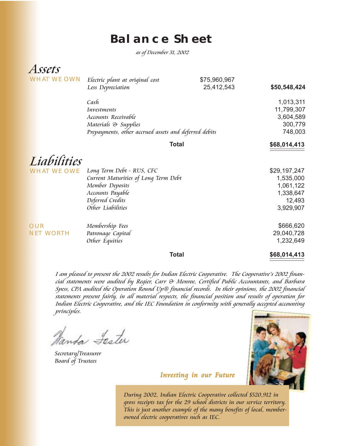## **Balance Sheet**

as of December 31, 2002

| Assets             |                                                       |              |              |
|--------------------|-------------------------------------------------------|--------------|--------------|
| <b>WHAT WE OWN</b> | Electric plant at original cost                       | \$75,960,967 |              |
|                    | Less Depreciation                                     | 25,412,543   | \$50,548,424 |
|                    | Cash                                                  |              | 1,013,311    |
|                    | Investments                                           |              | 11,799,307   |
|                    | Accounts Receivable                                   |              | 3,604,589    |
|                    | Materials & Supplies                                  |              | 300,779      |
|                    | Prepayments, other accrued assets and deferred debits |              | 748,003      |
|                    | <b>Total</b>                                          |              | \$68,014,413 |
| Liabilities        |                                                       |              |              |
| <b>WHAT WE OWE</b> | Long Term Debt - RUS, CFC                             |              | \$29,197,247 |
|                    | Current Maturities of Long Term Debt                  |              | 1,535,000    |
|                    | Member Deposits                                       |              | 1,061,122    |
|                    | Accounts Payable                                      |              | 1,338,647    |
|                    | Deferred Credits                                      |              | 12,493       |
|                    | Other Liabilities                                     |              | 3,929,907    |
| <b>OUR</b>         | Membership Fees                                       |              | \$666,620    |
| <b>NET WORTH</b>   | Patronage Capital                                     |              | 29,040,728   |
|                    | Other Equities                                        |              | 1,232,649    |
|                    | <b>Total</b>                                          |              | \$68,014,413 |

I am pleased to present the 2002 results for Indian Electric Cooperative. The Cooperative's 2002 financial statements were audited by Regier, Carr & Monroe, Certified Public Accountants, and Barbara Spess, CPA audited the Operation Round Up® financial records. In their opinions, the 2002 financial statements present fairly, in all material respects, the financial position and results of operation for Indian Electric Cooperative, and the IEC Foundation in conformity with generally accepted accounting principles.

Vanda Lester

Secretary/Treasurer Board of Trustees



Investing in our Future

During 2002, Indian Electric Cooperative collected \$520,912 in gross receipts tax for the 29 school districts in our service territory. This is just another example of the many benefits of local, memberowned electric cooperatives such as IEC.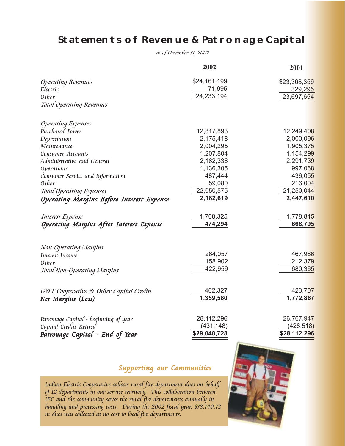#### **Statements of Revenue & Patronage Capital**

as of December 31, 2002

|                                                  | 2002          | 2001         |
|--------------------------------------------------|---------------|--------------|
| <b>Operating Revenues</b>                        | \$24,161,199  | \$23,368,359 |
| Electric                                         | <u>71,995</u> | 329,295      |
| Other                                            | 24, 233, 194  | 23,697,654   |
| <b>Total Operating Revenues</b>                  |               |              |
| <b>Operating Expenses</b>                        |               |              |
| Purchased Power                                  | 12,817,893    | 12,249,408   |
| Depreciation                                     | 2,175,418     | 2,000,096    |
| Maintenance                                      | 2,004,295     | 1,905,375    |
| Consumer Accounts                                | 1,207,804     | 1,154,299    |
| Administrative and General                       | 2,162,336     | 2,291,739    |
| Operations                                       | 1,136,305     | 997,068      |
| Consumer Service and Information                 | 487,444       | 436,055      |
| Other                                            | 59,080        | 216,004      |
| <b>Total Operating Expenses</b>                  | 22,050,575    | 21,250,044   |
| <b>Operating Margins Before Interest Expense</b> | 2,182,619     | 2,447,610    |
| <b>Interest Expense</b>                          | 1,708,325     | 1,778,815    |
| Operating Margins After Interest Expense         | 474,294       | 668,795      |
| Non-Operating Margins                            |               |              |
| Interest Income                                  | 264,057       | 467,986      |
| Other                                            | 158,902       | 212,379      |
| Total Non-Operating Margins                      | 422,959       | 680,365      |
| <b>GOT Cooperative O Other Capital Credits</b>   | 462,327       | 423,707      |
| Net Marqins (Loss)                               | 1,359,580     | 1,772,867    |
| Patronage Capital - beginning of year            | 28, 112, 296  | 26,767,947   |
| Capital Credits Retired                          | (431, 148)    | (428, 518)   |
| Patronage Capital - End of Year                  | \$29,040,728  | \$28,112,296 |

#### Supporting our Communities

Indian Electric Cooperative collects rural fire department dues on behalf of 12 departments in our service territory. This collaboration between IEC and the community saves the rural fire departments annually in handling and processing costs. During the 2002 fiscal year, \$73,740.72 in dues was collected at no cost to local fire departments.

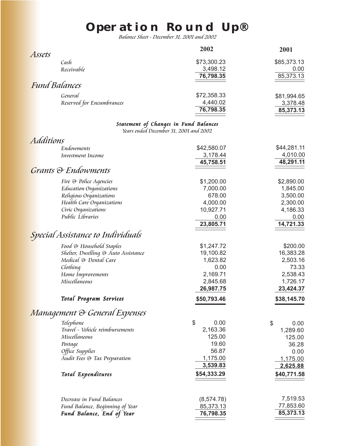# **Operation Round Up®**

Balance Sheet - December 31, 2001 and 2002

|                           | 2002        | 2001        |
|---------------------------|-------------|-------------|
| Assets                    |             |             |
| Cash                      | \$73,300.23 | \$85,373.13 |
| Receivable                | 3,498.12    | 0.00        |
|                           | 76,798.35   | 85,373.13   |
| <b>Fund Balances</b>      |             |             |
| General                   | \$72,358.33 | \$81,994.65 |
| Reserved for Encumbrances | 4,440.02    | 3,378.48    |
|                           | 76,798.35   | 85,373.13   |
|                           |             |             |

#### Statement of Changes in Fund Balances

Years ended December 31, 2001 and 2002

| <b>Additions</b>                    |             |             |
|-------------------------------------|-------------|-------------|
| Endowments                          | \$42,580.07 | \$44,281.11 |
| Investment Income                   | 3,178.44    | 4,010.00    |
|                                     | 45,758.51   | 48,291.11   |
| <b>Grants &amp; Endowments</b>      |             |             |
| Fire & Police Agencies              | \$1,200.00  | \$2,890.00  |
| Education Organizations             | 7,000.00    | 1,845.00    |
| Religious Organizations             | 678.00      | 3,500.00    |
| Health Care Organizations           | 4,000.00    | 2,300.00    |
| Civic Organizations                 | 10,927.71   | 4,186.33    |
| Public Libraries                    | 0.00        | 0.00        |
|                                     | 23,805.71   | 14,721.33   |
| Special Assistance to Individuals   |             |             |
| Food & Household Staples            | \$1,247.72  | \$200.00    |
| Shelter, Dwelling & Auto Assistance | 19,100.82   | 16,383.28   |
| Medical & Dental Care               | 1,623.82    | 2,503.16    |
| Clothing                            | 0.00        | 73.33       |
| Home Improvements                   | 2,169.71    | 2,538.43    |
| Miscellaneous                       | 2,845.68    | 1,726.17    |
|                                     | 26,987.75   | 23,424.37   |
| Total Program Services              | \$50,793.46 | \$38,145.70 |
| Management & General Expenses       |             |             |
| Telephone                           | \$<br>0.00  | \$<br>0.00  |
| Travel - Vehicle reimbursements     | 2,163.36    | 1,289.60    |
| Miscellaneous                       | 125.00      | 125.00      |
| Postage                             | 19.60       | 36.28       |
| Office Supplies                     | 56.87       | 0.00        |
| Audit Fees & Tax Preparation        | 1,175.00    | 1,175.00    |
|                                     | 3,539.83    | 2,625.88    |
| Total Expenditures                  | \$54,333.29 | \$40,771.58 |
|                                     |             |             |
| Decrease in Fund Balances           | (8,574.78)  | 7,519.53    |
| Fund Balance, Beginning of Year     | 85,373.13   | 77,853.60   |
| <b>Fund Balance, End of Year</b>    | 76,798.35   | 85,373.13   |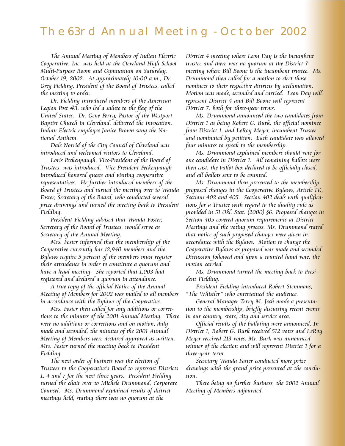### The 63rd Annual Meeting - October 2002

The Annual Meeting of Members of Indian Electric Cooperative, Inc. was held at the Cleveland High School Multi-Purpose Room and Gymnasium on Saturday, October 19, 2002. At approximately 10:00 a.m., Dr. Greg Fielding, President of the Board of Trustees, called the meeting to order.

Dr. Fielding introduced members of the American Legion Post #3, who led a salute to the flag of the United States. Dr. Gene Perry, Pastor of the Westport Baptist Church in Cleveland, delivered the invocation. Indian Electric employee Janice Brown sang the National Anthem.

Dale Norrid of the City Council of Cleveland was introduced and welcomed visitors to Cleveland.

Loris Peckenpaugh, Vice-President of the Board of Trustees, was introduced. Vice-President Peckenpaugh introduced honored guests and visiting cooperative representatives. He further introduced members of the Board of Trustees and turned the meeting over to Wanda Foster, Secretary of the Board, who conducted several prize drawings and turned the meeting back to President Fielding.

President Fielding advised that Wanda Foster, Secretary of the Board of Trustees, would serve as Secretary of the Annual Meeting.

Mrs. Foster informed that the membership of the Cooperative currently has 12,940 members and the Bylaws require 5 percent of the members must register their attendance in order to constitute a quorum and have a legal meeting. She reported that 1,003 had registered and declared a quorum in attendance.

A true copy of the official Notice of the Annual Meeting of Members for 2002 was mailed to all members in accordance with the Bylaws of the Cooperative.

Mrs. Foster then called for any additions or corrections to the minutes of the 2001 Annual Meeting. There were no additions or corrections and on motion, duly made and seconded, the minutes of the 2001 Annual Meeting of Members were declared approved as written. Mrs. Foster turned the meeting back to President Fielding.

The next order of business was the election of Trustees to the Cooperative's Board to represent Districts 1, 4 and 7 for the next three years. President Fielding turned the chair over to Michele Drummond, Corporate Counsel. Ms. Drummond explained results of district meetings held, stating there was no quorum at the

District 4 meeting where Leon Day is the incumbent trustee and there was no quorum at the District 7 meeting where Bill Boone is the incumbent trustee. Ms. Drummond then called for a motion to elect those nominees to their respective districts by acclamation. Motion was made, seconded and carried. Leon Day will represent District 4 and Bill Boone will represent District 7, both for three-year terms.

Ms. Drummond announced the two candidates from District 1 as being Robert G. Burk, the official nominee from District 1, and LeRoy Meyer, incumbent Trustee and nominated by petition. Each candidate was allowed four minutes to speak to the membership.

Ms. Drummond explained members should vote for one candidate in District 1. All remaining ballots were then cast, the ballot box declared to be officially closed, and all ballots sent to be counted.

Ms. Drummond then presented to the membership proposed changes in the Cooperative Bylaws, Article IV., Sections 402 and 405. Section 402 deals with qualifications for a Trustee with regard to the duality rule as provided in 51 Okl. Stat. (2000) §6. Proposed changes in Section 405 covered quorum requirements at District Meetings and the voting process. Ms. Drummond stated that notice of such proposed changes were given in accordance with the Bylaws. Motion to change the Cooperative Bylaws as proposed was made and seconded. Discussion followed and upon a counted hand vote, the motion carried.

Ms. Drummond turned the meeting back to President Fielding.

President Fielding introduced Robert Stemmons, "The Whistler" who entertained the audience.

General Manager Terry M. Jech made a presentation to the membership, briefly discussing recent events in our country, state, city and service area.

Official results of the balloting were announced. In District 1, Robert G. Burk received 512 votes and LeRoy Meyer received 213 votes. Mr. Burk was announced winner of the election and will represent District 1 for a three-year term.

Secretary Wanda Foster conducted more prize drawings with the grand prize presented at the conclusion.

There being no further business, the 2002 Annual Meeting of Members adjourned.